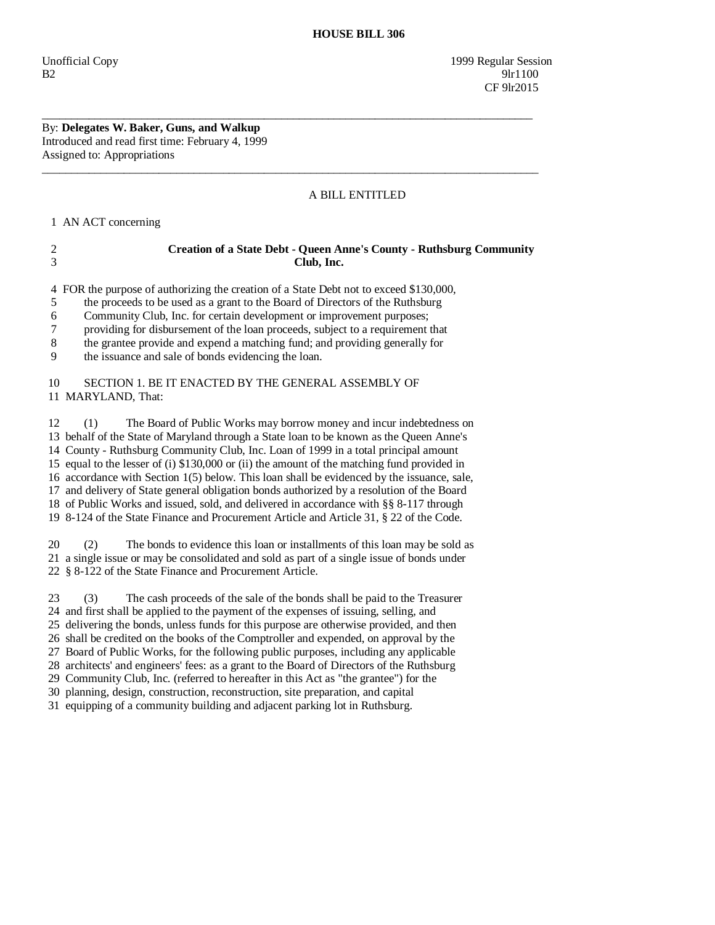## A BILL ENTITLED

1 AN ACT concerning

## 2 **Creation of a State Debt - Queen Anne's County - Ruthsburg Community**  3 **Club, Inc.**

4 FOR the purpose of authorizing the creation of a State Debt not to exceed \$130,000,

\_\_\_\_\_\_\_\_\_\_\_\_\_\_\_\_\_\_\_\_\_\_\_\_\_\_\_\_\_\_\_\_\_\_\_\_\_\_\_\_\_\_\_\_\_\_\_\_\_\_\_\_\_\_\_\_\_\_\_\_\_\_\_\_\_\_\_\_\_\_\_\_\_\_\_\_\_\_\_\_\_\_\_\_

 $\overline{\phantom{a}}$  ,  $\overline{\phantom{a}}$  ,  $\overline{\phantom{a}}$  ,  $\overline{\phantom{a}}$  ,  $\overline{\phantom{a}}$  ,  $\overline{\phantom{a}}$  ,  $\overline{\phantom{a}}$  ,  $\overline{\phantom{a}}$  ,  $\overline{\phantom{a}}$  ,  $\overline{\phantom{a}}$  ,  $\overline{\phantom{a}}$  ,  $\overline{\phantom{a}}$  ,  $\overline{\phantom{a}}$  ,  $\overline{\phantom{a}}$  ,  $\overline{\phantom{a}}$  ,  $\overline{\phantom{a}}$ 

5 the proceeds to be used as a grant to the Board of Directors of the Ruthsburg

6 Community Club, Inc. for certain development or improvement purposes;

7 providing for disbursement of the loan proceeds, subject to a requirement that

8 the grantee provide and expend a matching fund; and providing generally for

9 the issuance and sale of bonds evidencing the loan.

## 10 SECTION 1. BE IT ENACTED BY THE GENERAL ASSEMBLY OF 11 MARYLAND, That:

 12 (1) The Board of Public Works may borrow money and incur indebtedness on 13 behalf of the State of Maryland through a State loan to be known as the Queen Anne's 14 County - Ruthsburg Community Club, Inc. Loan of 1999 in a total principal amount 15 equal to the lesser of (i) \$130,000 or (ii) the amount of the matching fund provided in 16 accordance with Section 1(5) below. This loan shall be evidenced by the issuance, sale, 17 and delivery of State general obligation bonds authorized by a resolution of the Board 18 of Public Works and issued, sold, and delivered in accordance with §§ 8-117 through 19 8-124 of the State Finance and Procurement Article and Article 31, § 22 of the Code.

 20 (2) The bonds to evidence this loan or installments of this loan may be sold as 21 a single issue or may be consolidated and sold as part of a single issue of bonds under 22 § 8-122 of the State Finance and Procurement Article.

 23 (3) The cash proceeds of the sale of the bonds shall be paid to the Treasurer 24 and first shall be applied to the payment of the expenses of issuing, selling, and 25 delivering the bonds, unless funds for this purpose are otherwise provided, and then 26 shall be credited on the books of the Comptroller and expended, on approval by the 27 Board of Public Works, for the following public purposes, including any applicable 28 architects' and engineers' fees: as a grant to the Board of Directors of the Ruthsburg 29 Community Club, Inc. (referred to hereafter in this Act as "the grantee") for the 30 planning, design, construction, reconstruction, site preparation, and capital

31 equipping of a community building and adjacent parking lot in Ruthsburg.